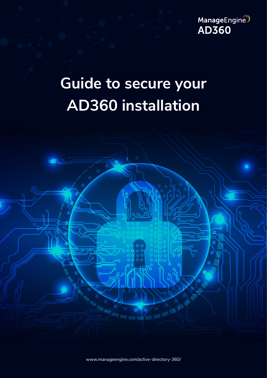

# **Guide to secure your AD360 installation**



[www.manageengine.com/active-directory-360/](https://www.manageengine.com/active-directory-360/?utm_source=ad360&utm_medium=documents&utm_campaign=secure-deployment-guide)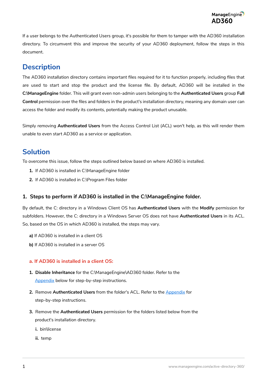If a user belongs to the Authenticated Users group, it's possible for them to tamper with the AD360 installation directory. To circumvent this and improve the security of your AD360 deployment, follow the steps in this document.

# **Description**

The AD360 installation directory contains important files required for it to function properly, including files that are used to start and stop the product and the license file. By default, AD360 will be installed in the **C:\ManageEngine** folder. This will grant even non-admin users belonging to the **Authenticated Users** group **Full Control** permission over the files and folders in the product's installation directory, meaning any domain user can access the folder and modify its contents, potentially making the product unusable.

Simply removing **Authenticated Users** from the Access Control List (ACL) won't help, as this will render them unable to even start AD360 as a service or application.

## **Solution**

To overcome this issue, follow the steps outlined below based on where AD360 is installed.

- **1.** If AD360 is installed in C:\ManageEngine folder
- **2.** If AD360 is installed in C:\Program Files folder

#### **1. Steps to perform if AD360 is installed in the C:\ManageEngine folder.**

By default, the C: directory in a Windows Client OS has **Authenticated Users** with the **Modify** permission for subfolders. However, the C: directory in a Windows Server OS does not have **Authenticated Users** in its ACL. So, based on the OS in which AD360 is installed, the steps may vary.

- **a)** If AD360 is installed in a client OS
- **b)** If AD360 is installed in a server OS

#### **a. If AD360 is installed in a client OS:**

- **1. Disable Inheritance** for the C:\ManageEngine\AD360 folder. Refer to the [Appendix](#page-3-0) below for step-by-step instructions.
- **2.** Remove **Authenticated Users** from the folder's ACL. Refer to the [Appendix](#page-3-0) for step-by-step instructions.
- **3.** Remove the **Authenticated Users** permission for the folders listed below from the product's installation directory.
	- **i.** bin\license
	- **ii.** temp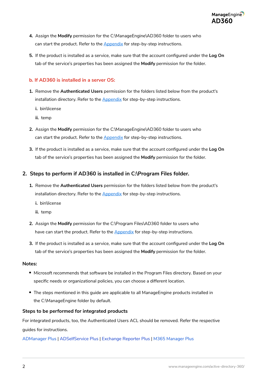- **4.** Assign the **Modify** permission for the C:\ManageEngine\AD360 folder to users who can start the product. Refer to the **Appendix** for step-by-step instructions.
- **5.** If the product is installed as a service, make sure that the account configured under the **Log On** tab of the service's properties has been assigned the **Modify** permission for the folder.

#### **b. If AD360 is installed in a server OS:**

- **1.** Remove the **Authenticated Users** permission for the folders listed below from the product's installation directory. Refer to the **Appendix** for step-by-step instructions.
	- **i.** bin\license
	- **ii.** temp
- **2.** Assign the **Modify** permission for the C:\ManageEngine\AD360 folder to users who can start the product. Refer to the **Appendix** for step-by-step instructions.
- **3.** If the product is installed as a service, make sure that the account configured under the **Log On** tab of the service's properties has been assigned the **Modify** permission for the folder.

#### **2. Steps to perform if AD360 is installed in C:\Program Files folder.**

- **1.** Remove the **Authenticated Users** permission for the folders listed below from the product's installation directory. Refer to the **Appendix** for step-by-step instructions.
	- **i.** bin\license
	- **ii.** temp
- **2.** Assign the **Modify** permission for the C:\Program Files\AD360 folder to users who have can start the product. Refer to the [Appendix](#page-3-0) for step-by-step instructions.
- **3.** If the product is installed as a service, make sure that the account configured under the **Log On** tab of the service's properties has been assigned the **Modify** permission for the folder.

#### **Notes:**

- $\bullet$  Microsoft recommends that software be installed in the Program Files directory. Based on your specific needs or organizational policies, you can choose a different location.
- The steps mentioned in this guide are applicable to all ManageEngine products installed in the C:\ManageEngine folder by default.

#### **Steps to be performed for integrated products**

For integrated products, too, the Authenticated Users ACL should be removed. Refer the respective guides for instructions.

[ADManager Plus](https://download.manageengine.com/products/ad-manager/resources/securing-admanager-plus-installation.pdf) | [ADSelfService Plus](https://download.manageengine.com/products/self-service-password/securing-adselfservice-plus-installation.pdf) | [Exchange Reporter Plus](https://download.manageengine.com/products/exchange-reports/securing-exchange-reporter-plus-installation.pdf) | [M365 Manager Plus](https://download.manageengine.com/microsoft-365-management-reporting/securing-m365-manager-plus-installation.pdf)